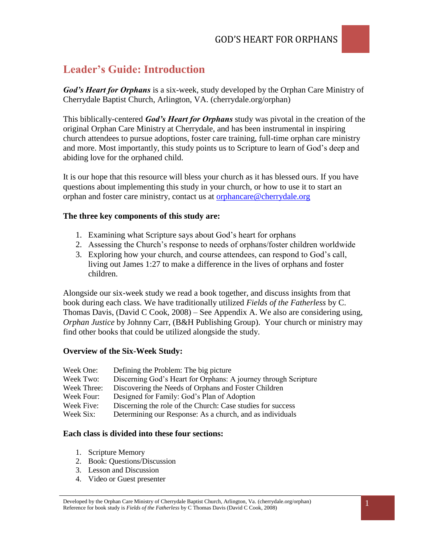# **Leader's Guide: Introduction**

*God's Heart for Orphans* is a six-week, study developed by the Orphan Care Ministry of Cherrydale Baptist Church, Arlington, VA. (cherrydale.org/orphan)

This biblically-centered *God's Heart for Orphans* study was pivotal in the creation of the original Orphan Care Ministry at Cherrydale, and has been instrumental in inspiring church attendees to pursue adoptions, foster care training, full-time orphan care ministry and more. Most importantly, this study points us to Scripture to learn of God's deep and abiding love for the orphaned child.

It is our hope that this resource will bless your church as it has blessed ours. If you have questions about implementing this study in your church, or how to use it to start an orphan and foster care ministry, contact us at [orphancare@cherrydale.org](mailto:orphancare@cherrydale.org) 

#### **The three key components of this study are:**

- 1. Examining what Scripture says about God's heart for orphans
- 2. Assessing the Church's response to needs of orphans/foster children worldwide
- 3. Exploring how your church, and course attendees, can respond to God's call, living out James 1:27 to make a difference in the lives of orphans and foster children.

Alongside our six-week study we read a book together, and discuss insights from that book during each class. We have traditionally utilized *Fields of the Fatherless* by C. Thomas Davis, (David C Cook, 2008) – See Appendix A. We also are considering using, *Orphan Justice* by Johnny Carr, (B&H Publishing Group). Your church or ministry may find other books that could be utilized alongside the study.

#### **Overview of the Six-Week Study:**

| Week One:   | Defining the Problem: The big picture                           |
|-------------|-----------------------------------------------------------------|
| Week Two:   | Discerning God's Heart for Orphans: A journey through Scripture |
| Week Three: | Discovering the Needs of Orphans and Foster Children            |
| Week Four:  | Designed for Family: God's Plan of Adoption                     |
| Week Five:  | Discerning the role of the Church: Case studies for success     |
| Week Six:   | Determining our Response: As a church, and as individuals       |

#### **Each class is divided into these four sections:**

- 1. Scripture Memory
- 2. Book: Questions/Discussion
- 3. Lesson and Discussion
- 4. Video or Guest presenter

Developed by the Orphan Care Ministry of Cherrydale Baptist Church, Arlington, Va. (cherrydale.org/orphan) Reference for book study is *Fields of the Fatherless* by C Thomas Davis (David C Cook, 2008)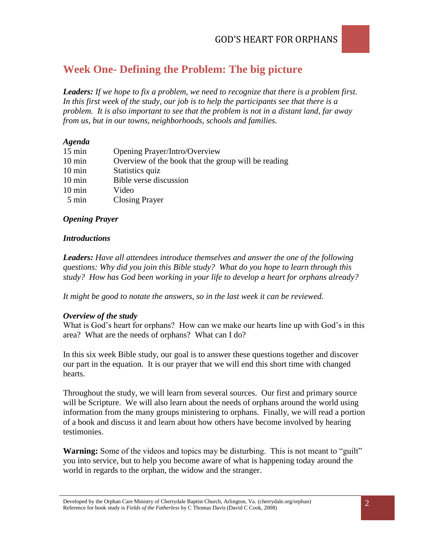# **Week One- Defining the Problem: The big picture**

*Leaders: If we hope to fix a problem, we need to recognize that there is a problem first. In this first week of the study, our job is to help the participants see that there is a problem. It is also important to see that the problem is not in a distant land, far away from us, but in our towns, neighborhoods, schools and families.*

#### *Agenda*

| Opening Prayer/Intro/Overview                       |
|-----------------------------------------------------|
| Overview of the book that the group will be reading |
| Statistics quiz                                     |
| Bible verse discussion                              |
| Video                                               |
| <b>Closing Prayer</b>                               |
|                                                     |

#### *Opening Prayer*

#### *Introductions*

*Leaders: Have all attendees introduce themselves and answer the one of the following questions: Why did you join this Bible study? What do you hope to learn through this study? How has God been working in your life to develop a heart for orphans already?*

*It might be good to notate the answers, so in the last week it can be reviewed.*

#### *Overview of the study*

What is God's heart for orphans? How can we make our hearts line up with God's in this area? What are the needs of orphans? What can I do?

In this six week Bible study, our goal is to answer these questions together and discover our part in the equation. It is our prayer that we will end this short time with changed hearts.

Throughout the study, we will learn from several sources. Our first and primary source will be Scripture. We will also learn about the needs of orphans around the world using information from the many groups ministering to orphans. Finally, we will read a portion of a book and discuss it and learn about how others have become involved by hearing testimonies.

**Warning:** Some of the videos and topics may be disturbing. This is not meant to "guilt" you into service, but to help you become aware of what is happening today around the world in regards to the orphan, the widow and the stranger.

Developed by the Orphan Care Ministry of Cherrydale Baptist Church, Arlington, Va. (cherrydale.org/orphan) Reference for book study is *Fields of the Fatherless* by C Thomas Davis (David C Cook, 2008)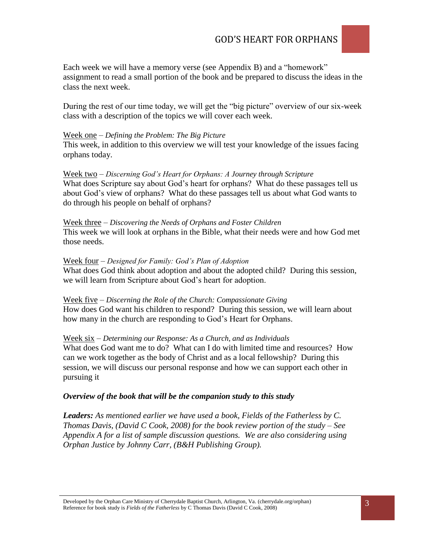

Each week we will have a memory verse (see Appendix B) and a "homework" assignment to read a small portion of the book and be prepared to discuss the ideas in the class the next week.

During the rest of our time today, we will get the "big picture" overview of our six-week class with a description of the topics we will cover each week.

#### Week one *– Defining the Problem: The Big Picture*

This week, in addition to this overview we will test your knowledge of the issues facing orphans today.

#### Week two *– Discerning God's Heart for Orphans: A Journey through Scripture*

What does Scripture say about God's heart for orphans? What do these passages tell us about God's view of orphans? What do these passages tell us about what God wants to do through his people on behalf of orphans?

#### Week three *– Discovering the Needs of Orphans and Foster Children* This week we will look at orphans in the Bible, what their needs were and how God met those needs.

#### Week four *– Designed for Family: God's Plan of Adoption*

What does God think about adoption and about the adopted child? During this session, we will learn from Scripture about God's heart for adoption.

#### Week five *– Discerning the Role of the Church: Compassionate Giving*

How does God want his children to respond? During this session, we will learn about how many in the church are responding to God's Heart for Orphans.

#### Week six *– Determining our Response: As a Church, and as Individuals*

What does God want me to do? What can I do with limited time and resources? How can we work together as the body of Christ and as a local fellowship? During this session, we will discuss our personal response and how we can support each other in pursuing it

#### *Overview of the book that will be the companion study to this study*

*Leaders: As mentioned earlier we have used a book, Fields of the Fatherless by C. Thomas Davis, (David C Cook, 2008) for the book review portion of the study – See Appendix A for a list of sample discussion questions. We are also considering using Orphan Justice by Johnny Carr, (B&H Publishing Group).*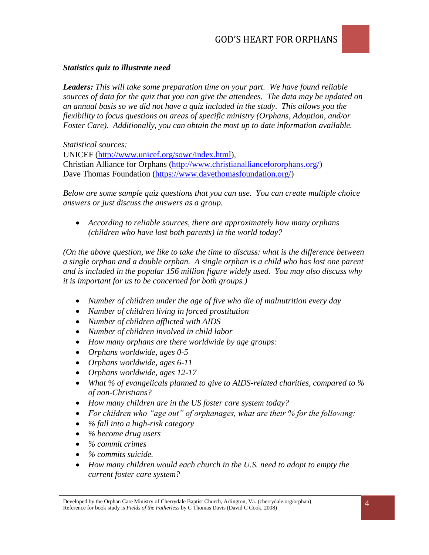#### *Statistics quiz to illustrate need*

*Leaders: This will take some preparation time on your part. We have found reliable sources of data for the quiz that you can give the attendees. The data may be updated on an annual basis so we did not have a quiz included in the study. This allows you the flexibility to focus questions on areas of specific ministry (Orphans, Adoption, and/or Foster Care). Additionally, you can obtain the most up to date information available.* 

*Statistical sources:*

UNICEF [\(http://www.unicef.org/sowc/index.html\)](http://www.unicef.org/sowc/index.html), Christian Alliance for Orphans [\(http://www.christianalliancefororphans.org/\)](http://www.christianalliancefororphans.org/) Dave Thomas Foundation [\(https://www.davethomasfoundation.org/\)](https://www.davethomasfoundation.org/)

*Below are some sample quiz questions that you can use. You can create multiple choice answers or just discuss the answers as a group.*

 *According to reliable sources, there are approximately how many orphans (children who have lost both parents) in the world today?*

*(On the above question, we like to take the time to discuss: what is the difference between a single orphan and a double orphan. A single orphan is a child who has lost one parent and is included in the popular 156 million figure widely used. You may also discuss why it is important for us to be concerned for both groups.)*

- *Number of children under the age of five who die of malnutrition every day*
- *Number of children living in forced prostitution*
- *Number of children afflicted with AIDS*
- *Number of children involved in child labor*
- *How many orphans are there worldwide by age groups:*
- *Orphans worldwide, ages 0-5*
- *Orphans worldwide, ages 6-11*
- *Orphans worldwide, ages 12-17*
- *What % of evangelicals planned to give to AIDS-related charities, compared to % of non-Christians?*
- *How many children are in the US foster care system today?*
- *For children who "age out" of orphanages, what are their % for the following:*
- *% fall into a high-risk category*
- *% become drug users*
- *% commit crimes*
- *% commits suicide.*
- *How many children would each church in the U.S. need to adopt to empty the current foster care system?*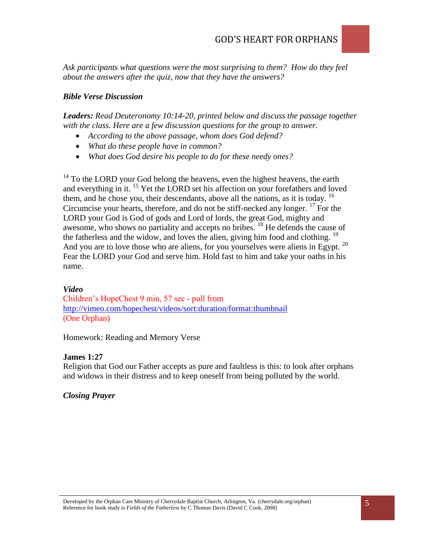*Ask participants what questions were the most surprising to them? How do they feel about the answers after the quiz, now that they have the answers?*

### *Bible Verse Discussion*

*Leaders: Read Deuteronomy 10:14-20, printed below and discuss the passage together*  with the class. Here are a few discussion questions for the group to answer.

- *According to the above passage, whom does God defend?*
- *What do these people have in common?*
- *What does God desire his people to do for these needy ones?*

<sup>14</sup> To the LORD your God belong the heavens, even the highest heavens, the earth and everything in it. <sup>15</sup> Yet the LORD set his affection on your forefathers and loved them, and he chose you, their descendants, above all the nations, as it is today. <sup>16</sup> Circumcise your hearts, therefore, and do not be stiff-necked any longer.  $^{17}$  For the LORD your God is God of gods and Lord of lords, the great God, mighty and awesome, who shows no partiality and accepts no bribes. <sup>18</sup> He defends the cause of the fatherless and the widow, and loves the alien, giving him food and clothing. <sup>19</sup> And you are to love those who are aliens, for you yourselves were aliens in Egypt.<sup>20</sup> Fear the LORD your God and serve him. Hold fast to him and take your oaths in his name.

#### *Video*

Children's HopeChest 9 min, 57 sec - pull from <http://vimeo.com/hopechest/videos/sort:duration/format:thumbnail> (One Orphan)

Homework: Reading and Memory Verse

#### **James 1:27**

Religion that God our Father accepts as pure and faultless is this: to look after orphans and widows in their distress and to keep oneself from being polluted by the world.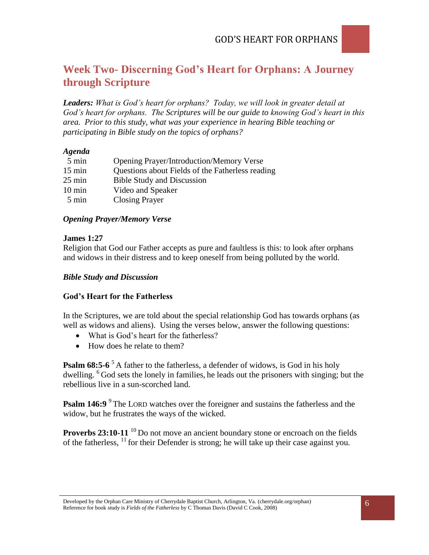# **Week Two- Discerning God's Heart for Orphans: A Journey through Scripture**

*Leaders: What is God's heart for orphans? Today, we will look in greater detail at God's heart for orphans. The Scriptures will be our guide to knowing God's heart in this area. Prior to this study, what was your experience in hearing Bible teaching or participating in Bible study on the topics of orphans?*

#### *Agenda*

| 5 min            | <b>Opening Prayer/Introduction/Memory Verse</b>  |
|------------------|--------------------------------------------------|
| $15 \text{ min}$ | Questions about Fields of the Fatherless reading |
| $25 \text{ min}$ | <b>Bible Study and Discussion</b>                |
| $10 \text{ min}$ | Video and Speaker                                |
| $5 \text{ min}$  | <b>Closing Prayer</b>                            |
|                  |                                                  |

### *Opening Prayer/Memory Verse*

#### **James 1:27**

Religion that God our Father accepts as pure and faultless is this: to look after orphans and widows in their distress and to keep oneself from being polluted by the world.

### *Bible Study and Discussion*

### **God's Heart for the Fatherless**

In the Scriptures, we are told about the special relationship God has towards orphans (as well as widows and aliens). Using the verses below, answer the following questions:

- What is God's heart for the fatherless?
- How does he relate to them?

**Psalm 68:5-6**<sup>5</sup> A father to the fatherless, a defender of widows, is God in his holy dwelling. <sup>6</sup>God sets the lonely in families, he leads out the prisoners with singing; but the rebellious live in a sun-scorched land.

**Psalm 146:9** <sup>9</sup>The LORD watches over the foreigner and sustains the fatherless and the widow, but he frustrates the ways of the wicked.

**Proverbs 23:10-11** <sup>10</sup> Do not move an ancient boundary stone or encroach on the fields of the fatherless,  $^{11}$  for their Defender is strong; he will take up their case against you.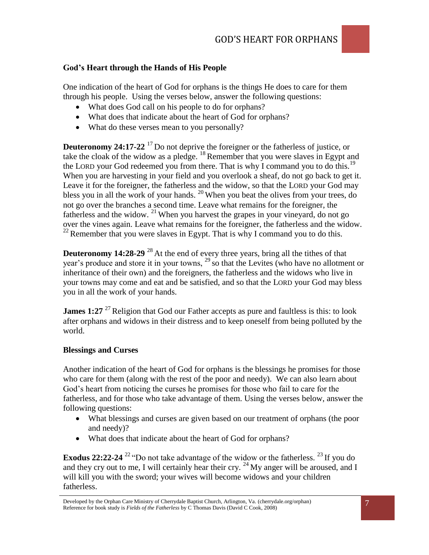### **God's Heart through the Hands of His People**

One indication of the heart of God for orphans is the things He does to care for them through his people. Using the verses below, answer the following questions:

- What does God call on his people to do for orphans?
- What does that indicate about the heart of God for orphans?
- What do these verses mean to you personally?

**Deuteronomy 24:17-22**<sup>17</sup> Do not deprive the foreigner or the fatherless of justice, or take the cloak of the widow as a pledge.  $^{18}$  Remember that you were slaves in Egypt and the LORD your God redeemed you from there. That is why I command you to do this.<sup>19</sup> When you are harvesting in your field and you overlook a sheaf, do not go back to get it. Leave it for the foreigner, the fatherless and the widow, so that the LORD your God may bless you in all the work of your hands. <sup>20</sup> When you beat the olives from your trees, do not go over the branches a second time. Leave what remains for the foreigner, the fatherless and the widow.  $^{21}$  When you harvest the grapes in your vineyard, do not go over the vines again. Leave what remains for the foreigner, the fatherless and the widow.  $22$  Remember that you were slaves in Egypt. That is why I command you to do this.

**Deuteronomy 14:28-29**<sup>28</sup> At the end of every three years, bring all the tithes of that year's produce and store it in your towns,  $^{29}$  so that the Levites (who have no allotment or inheritance of their own) and the foreigners, the fatherless and the widows who live in your towns may come and eat and be satisfied, and so that the LORD your God may bless you in all the work of your hands.

**James 1:27** <sup>27</sup> Religion that God our Father accepts as pure and faultless is this: to look after orphans and widows in their distress and to keep oneself from being polluted by the world.

#### **Blessings and Curses**

Another indication of the heart of God for orphans is the blessings he promises for those who care for them (along with the rest of the poor and needy). We can also learn about God's heart from noticing the curses he promises for those who fail to care for the fatherless, and for those who take advantage of them. Using the verses below, answer the following questions:

- What blessings and curses are given based on our treatment of orphans (the poor and needy)?
- What does that indicate about the heart of God for orphans?

**Exodus 22:22-24** <sup>22</sup> "Do not take advantage of the widow or the fatherless. <sup>23</sup> If you do and they cry out to me, I will certainly hear their cry.  $^{24}$  My anger will be aroused, and I will kill you with the sword; your wives will become widows and your children fatherless.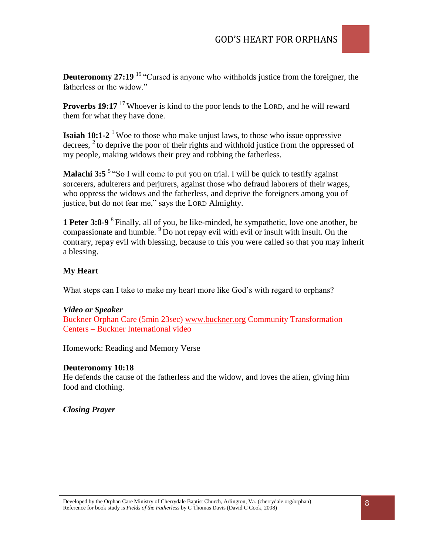

**Deuteronomy 27:19** <sup>19</sup> "Cursed is anyone who withholds justice from the foreigner, the fatherless or the widow."

**Proverbs 19:17** <sup>17</sup> Whoever is kind to the poor lends to the LORD, and he will reward them for what they have done.

**Isaiah 10:1-2** <sup>1</sup> Woe to those who make unjust laws, to those who issue oppressive decrees,  $2$  to deprive the poor of their rights and withhold justice from the oppressed of my people, making widows their prey and robbing the fatherless.

**Malachi 3:5<sup>5</sup>** "So I will come to put you on trial. I will be quick to testify against sorcerers, adulterers and perjurers, against those who defraud laborers of their wages, who oppress the widows and the fatherless, and deprive the foreigners among you of justice, but do not fear me," says the LORD Almighty.

**1 Peter 3:8-9** <sup>8</sup>Finally, all of you, be like-minded, be sympathetic, love one another, be compassionate and humble. <sup>9</sup>Do not repay evil with evil or insult with insult. On the contrary, repay evil with blessing, because to this you were called so that you may inherit a blessing.

### **My Heart**

What steps can I take to make my heart more like God's with regard to orphans?

#### *Video or Speaker*

Buckner Orphan Care (5min 23sec) [www.buckner.org](http://www.buckner.org/) Community Transformation Centers – Buckner International video

Homework: Reading and Memory Verse

#### **Deuteronomy 10:18**

He defends the cause of the fatherless and the widow, and loves the alien, giving him food and clothing.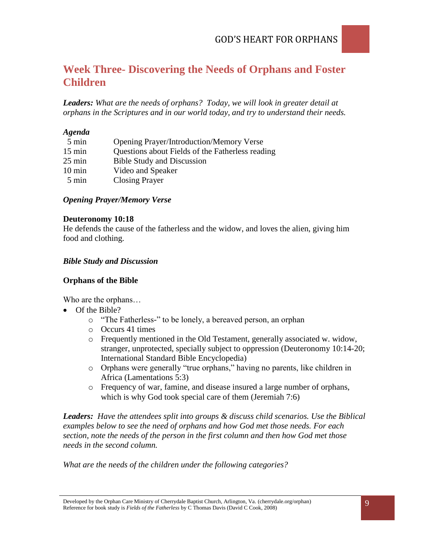# **Week Three- Discovering the Needs of Orphans and Foster Children**

*Leaders: What are the needs of orphans? Today, we will look in greater detail at orphans in the Scriptures and in our world today, and try to understand their needs.* 

### *Agenda*

| 5 min            | <b>Opening Prayer/Introduction/Memory Verse</b>  |
|------------------|--------------------------------------------------|
| $15 \text{ min}$ | Questions about Fields of the Fatherless reading |
| $25 \text{ min}$ | <b>Bible Study and Discussion</b>                |
| $10 \text{ min}$ | Video and Speaker                                |
| 5 min            | <b>Closing Prayer</b>                            |

### *Opening Prayer/Memory Verse*

#### **Deuteronomy 10:18**

He defends the cause of the fatherless and the widow, and loves the alien, giving him food and clothing.

### *Bible Study and Discussion*

### **Orphans of the Bible**

Who are the orphans…

- Of the Bible?
	- o "The Fatherless-" to be lonely, a bereaved person, an orphan
	- o Occurs 41 times
	- o Frequently mentioned in the Old Testament, generally associated w. widow, stranger, unprotected, specially subject to oppression (Deuteronomy 10:14-20; International Standard Bible Encyclopedia)
	- o Orphans were generally "true orphans," having no parents, like children in Africa (Lamentations 5:3)
	- o Frequency of war, famine, and disease insured a large number of orphans, which is why God took special care of them (Jeremiah 7:6)

*Leaders: Have the attendees split into groups & discuss child scenarios. Use the Biblical examples below to see the need of orphans and how God met those needs. For each section, note the needs of the person in the first column and then how God met those needs in the second column.*

*What are the needs of the children under the following categories?*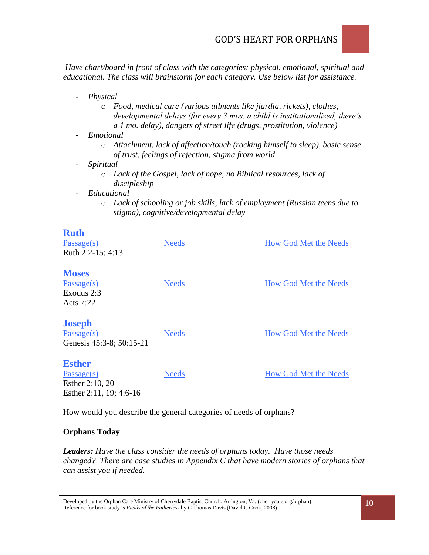

*Have chart/board in front of class with the categories: physical, emotional, spiritual and educational. The class will brainstorm for each category. Use below list for assistance.* 

- *Physical*
	- o *Food, medical care (various ailments like jiardia, rickets), clothes, developmental delays (for every 3 mos. a child is institutionalized, there's a 1 mo. delay), dangers of street life (drugs, prostitution, violence)*
- *Emotional*
	- o *Attachment, lack of affection/touch (rocking himself to sleep), basic sense of trust, feelings of rejection, stigma from world*
- *Spiritual*
	- o *Lack of the Gospel, lack of hope, no Biblical resources, lack of discipleship*
- *Educational*
	- o *Lack of schooling or job skills, lack of employment (Russian teens due to stigma), cognitive/developmental delay*

## **Ruth**

| Passage(s)<br>Ruth 2:2-15; 4:13                                           | <b>Needs</b> | <b>How God Met the Needs</b> |
|---------------------------------------------------------------------------|--------------|------------------------------|
| <b>Moses</b><br>Passage(s)<br>Exodus 2:3<br>Acts 7:22                     | <b>Needs</b> | <b>How God Met the Needs</b> |
| <b>Joseph</b><br>Passage(s)<br>Genesis 45:3-8; 50:15-21                   | <b>Needs</b> | <b>How God Met the Needs</b> |
| <b>Esther</b><br>Passage(s)<br>Esther 2:10, 20<br>Esther 2:11, 19; 4:6-16 | <b>Needs</b> | <b>How God Met the Needs</b> |

How would you describe the general categories of needs of orphans?

### **Orphans Today**

*Leaders: Have the class consider the needs of orphans today. Have those needs changed? There are case studies in Appendix C that have modern stories of orphans that can assist you if needed.*

Developed by the Orphan Care Ministry of Cherrydale Baptist Church, Arlington, Va. (cherrydale.org/orphan) Reference for book study is *Fields of the Fatherless* by C Thomas Davis (David C Cook, 2008)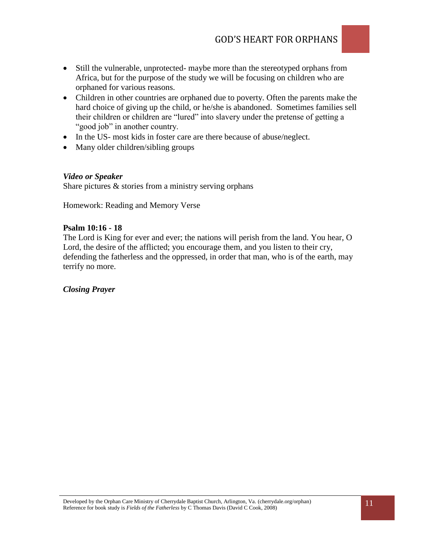- Still the vulnerable, unprotected- maybe more than the stereotyped orphans from Africa, but for the purpose of the study we will be focusing on children who are orphaned for various reasons.
- Children in other countries are orphaned due to poverty. Often the parents make the hard choice of giving up the child, or he/she is abandoned. Sometimes families sell their children or children are "lured" into slavery under the pretense of getting a "good job" in another country.
- In the US- most kids in foster care are there because of abuse/neglect.
- Many older children/sibling groups

#### *Video or Speaker*

Share pictures  $\&$  stories from a ministry serving orphans

Homework: Reading and Memory Verse

#### **Psalm 10:16 - 18**

The Lord is King for ever and ever; the nations will perish from the land. You hear, O Lord, the desire of the afflicted; you encourage them, and you listen to their cry, defending the fatherless and the oppressed, in order that man, who is of the earth, may terrify no more.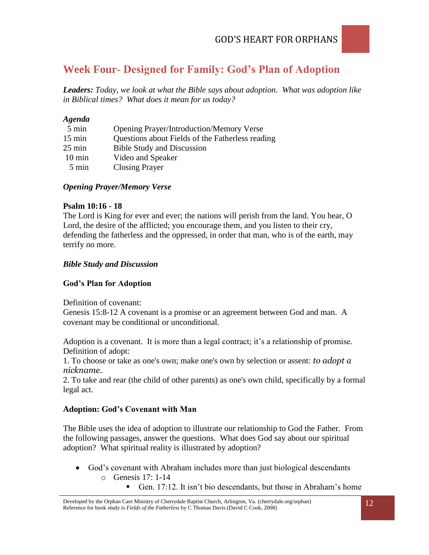# **Week Four- Designed for Family: God's Plan of Adoption**

*Leaders: Today, we look at what the Bible says about adoption. What was adoption like in Biblical times? What does it mean for us today?* 

#### *Agenda*

| 5 min            | <b>Opening Prayer/Introduction/Memory Verse</b>  |
|------------------|--------------------------------------------------|
| $15 \text{ min}$ | Questions about Fields of the Fatherless reading |
| $25 \text{ min}$ | <b>Bible Study and Discussion</b>                |
| $10 \text{ min}$ | Video and Speaker                                |
| 5 min            | <b>Closing Prayer</b>                            |

#### *Opening Prayer/Memory Verse*

#### **Psalm 10:16 - 18**

The Lord is King for ever and ever; the nations will perish from the land. You hear, O Lord, the desire of the afflicted; you encourage them, and you listen to their cry, defending the fatherless and the oppressed, in order that man, who is of the earth, may terrify no more.

#### *Bible Study and Discussion*

#### **God's Plan for Adoption**

Definition of covenant:

Genesis 15:8-12 A covenant is a promise or an agreement between God and man. A covenant may be conditional or unconditional.

Adoption is a covenant. It is more than a legal contract; it's a relationship of promise. Definition of adopt:

1. To choose or take as one's own; make one's own by selection or assent: *to adopt a nickname.* 

2. To take and rear (the child of other parents) as one's own child, specifically by a formal legal act.

#### **Adoption: God's Covenant with Man**

The Bible uses the idea of adoption to illustrate our relationship to God the Father. From the following passages, answer the questions. What does God say about our spiritual adoption? What spiritual reality is illustrated by adoption?

- God's covenant with Abraham includes more than just biological descendants o Genesis 17: 1-14
	- Gen. 17:12. It isn't bio descendants, but those in Abraham's home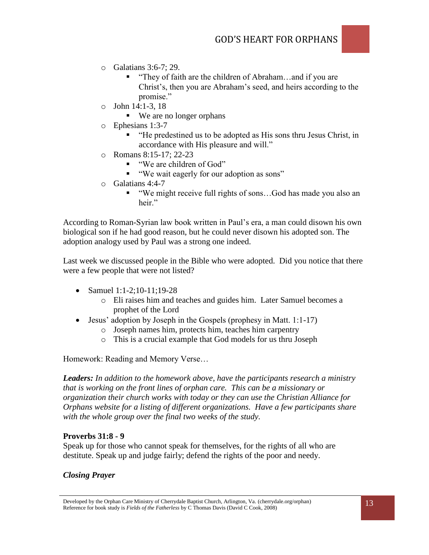- o Galatians 3:6-7; 29.
	- "They of faith are the children of Abraham...and if you are Christ's, then you are Abraham's seed, and heirs according to the promise."
- $\circ$  John 14:1-3, 18
	- We are no longer orphans
- o Ephesians 1:3-7
	- "He predestined us to be adopted as His sons thru Jesus Christ, in accordance with His pleasure and will."
- o Romans 8:15-17; 22-23
	- "We are children of God"
	- "We wait eagerly for our adoption as sons"
- o Galatians 4:4-7
	- "We might receive full rights of sons...God has made you also an heir"

According to Roman-Syrian law book written in Paul's era, a man could disown his own biological son if he had good reason, but he could never disown his adopted son. The adoption analogy used by Paul was a strong one indeed.

Last week we discussed people in the Bible who were adopted. Did you notice that there were a few people that were not listed?

- Samuel  $1:1-2:10-11:19-28$ 
	- o Eli raises him and teaches and guides him. Later Samuel becomes a prophet of the Lord
- $\bullet$  Jesus' adoption by Joseph in the Gospels (prophesy in Matt. 1:1-17)
	- o Joseph names him, protects him, teaches him carpentry
	- o This is a crucial example that God models for us thru Joseph

Homework: Reading and Memory Verse…

*Leaders: In addition to the homework above, have the participants research a ministry that is working on the front lines of orphan care. This can be a missionary or organization their church works with today or they can use the Christian Alliance for Orphans website for a listing of different organizations. Have a few participants share with the whole group over the final two weeks of the study.*

#### **Proverbs 31:8 - 9**

Speak up for those who cannot speak for themselves, for the rights of all who are destitute. Speak up and judge fairly; defend the rights of the poor and needy.

Developed by the Orphan Care Ministry of Cherrydale Baptist Church, Arlington, Va. (cherrydale.org/orphan) Reference for book study is *Fields of the Fatherless* by C Thomas Davis (David C Cook, 2008)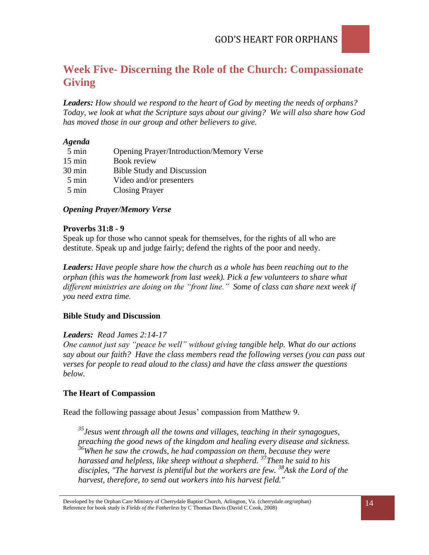# **Week Five- Discerning the Role of the Church: Compassionate Giving**

*Leaders: How should we respond to the heart of God by meeting the needs of orphans? Today, we look at what the Scripture says about our giving? We will also share how God has moved those in our group and other believers to give.*

#### *Agenda*

| 5 min            | <b>Opening Prayer/Introduction/Memory Verse</b> |
|------------------|-------------------------------------------------|
| $15 \text{ min}$ | Book review                                     |
| $30 \text{ min}$ | <b>Bible Study and Discussion</b>               |
| 5 min            | Video and/or presenters                         |
| 5 min            | <b>Closing Prayer</b>                           |

### *Opening Prayer/Memory Verse*

#### **Proverbs 31:8 - 9**

Speak up for those who cannot speak for themselves, for the rights of all who are destitute. Speak up and judge fairly; defend the rights of the poor and needy.

*Leaders: Have people share how the church as a whole has been reaching out to the orphan (this was the homework from last week). Pick a few volunteers to share what different ministries are doing on the "front line." Some of class can share next week if you need extra time.*

### **Bible Study and Discussion**

#### *Leaders: Read James 2:14-17*

*One cannot just say "peace be well" without giving tangible help. What do our actions say about our faith? Have the class members read the following verses (you can pass out verses for people to read aloud to the class) and have the class answer the questions below.* 

### **The Heart of Compassion**

Read the following passage about Jesus' compassion from Matthew 9.

*<sup>35</sup>Jesus went through all the towns and villages, teaching in their synagogues, preaching the good news of the kingdom and healing every disease and sickness. <sup>36</sup>When he saw the crowds, he had compassion on them, because they were harassed and helpless, like sheep without a shepherd. <sup>37</sup>Then he said to his disciples, "The harvest is plentiful but the workers are few. <sup>38</sup>Ask the Lord of the harvest, therefore, to send out workers into his harvest field."*

Developed by the Orphan Care Ministry of Cherrydale Baptist Church, Arlington, Va. (cherrydale.org/orphan) Reference for book study is *Fields of the Fatherless* by C Thomas Davis (David C Cook, 2008)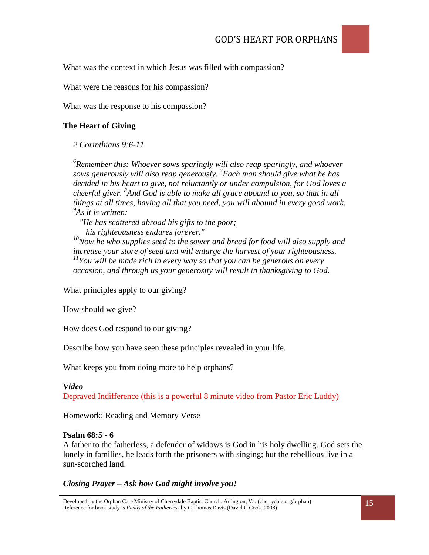What was the context in which Jesus was filled with compassion?

What were the reasons for his compassion?

What was the response to his compassion?

### **The Heart of Giving**

#### *2 Corinthians 9:6-11*

*6 Remember this: Whoever sows sparingly will also reap sparingly, and whoever sows generously will also reap generously. <sup>7</sup> Each man should give what he has decided in his heart to give, not reluctantly or under compulsion, for God loves a cheerful giver. <sup>8</sup> And God is able to make all grace abound to you, so that in all things at all times, having all that you need, you will abound in every good work. 9 As it is written:* 

 *"He has scattered abroad his gifts to the poor; his righteousness endures forever."*

*<sup>10</sup>Now he who supplies seed to the sower and bread for food will also supply and increase your store of seed and will enlarge the harvest of your righteousness. <sup>11</sup>You will be made rich in every way so that you can be generous on every occasion, and through us your generosity will result in thanksgiving to God.*

What principles apply to our giving?

How should we give?

How does God respond to our giving?

Describe how you have seen these principles revealed in your life.

What keeps you from doing more to help orphans?

#### *Video*

Depraved Indifference (this is a powerful 8 minute video from Pastor Eric Luddy)

Homework: Reading and Memory Verse

#### **Psalm 68:5 - 6**

A father to the fatherless, a defender of widows is God in his holy dwelling. God sets the lonely in families, he leads forth the prisoners with singing; but the rebellious live in a sun-scorched land.

### *Closing Prayer – Ask how God might involve you!*

Developed by the Orphan Care Ministry of Cherrydale Baptist Church, Arlington, Va. (cherrydale.org/orphan) Reference for book study is *Fields of the Fatherless* by C Thomas Davis (David C Cook, 2008)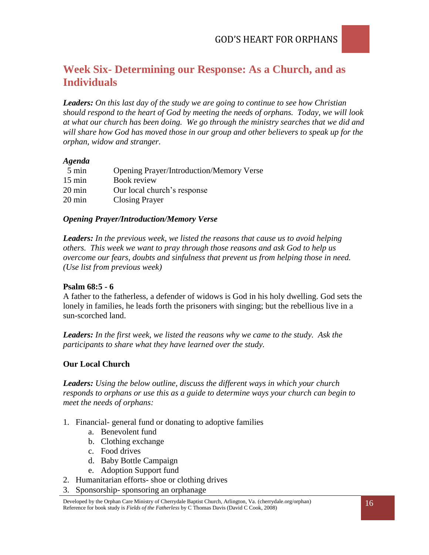

*Leaders: On this last day of the study we are going to continue to see how Christian should respond to the heart of God by meeting the needs of orphans. Today, we will look at what our church has been doing. We go through the ministry searches that we did and will share how God has moved those in our group and other believers to speak up for the orphan, widow and stranger.*

#### *Agenda*

| 5 min            | <b>Opening Prayer/Introduction/Memory Verse</b> |
|------------------|-------------------------------------------------|
| $15 \text{ min}$ | Book review                                     |
| 20 min           | Our local church's response                     |
| $20 \text{ min}$ | <b>Closing Prayer</b>                           |
|                  |                                                 |

#### *Opening Prayer/Introduction/Memory Verse*

*Leaders: In the previous week, we listed the reasons that cause us to avoid helping others. This week we want to pray through those reasons and ask God to help us overcome our fears, doubts and sinfulness that prevent us from helping those in need. (Use list from previous week)*

#### **Psalm 68:5 - 6**

A father to the fatherless, a defender of widows is God in his holy dwelling. God sets the lonely in families, he leads forth the prisoners with singing; but the rebellious live in a sun-scorched land.

*Leaders: In the first week, we listed the reasons why we came to the study. Ask the participants to share what they have learned over the study.* 

#### **Our Local Church**

*Leaders: Using the below outline, discuss the different ways in which your church responds to orphans or use this as a guide to determine ways your church can begin to meet the needs of orphans:* 

- 1. Financial- general fund or donating to adoptive families
	- a. Benevolent fund
	- b. Clothing exchange
	- c. Food drives
	- d. Baby Bottle Campaign
	- e. Adoption Support fund
- 2. Humanitarian efforts- shoe or clothing drives
- 3. Sponsorship- sponsoring an orphanage

Developed by the Orphan Care Ministry of Cherrydale Baptist Church, Arlington, Va. (cherrydale.org/orphan) Reference for book study is *Fields of the Fatherless* by C Thomas Davis (David C Cook, 2008)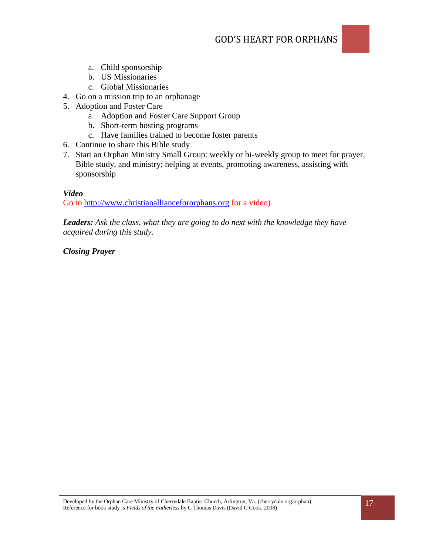- a. Child sponsorship
- b. US Missionaries
- c. Global Missionaries
- 4. Go on a mission trip to an orphanage
- 5. Adoption and Foster Care
	- a. Adoption and Foster Care Support Group
	- b. Short-term hosting programs
	- c. Have families trained to become foster parents
- 6. Continue to share this Bible study
- 7. Start an Orphan Ministry Small Group: weekly or bi-weekly group to meet for prayer, Bible study, and ministry; helping at events, promoting awareness, assisting with sponsorship

### *Video*

Go to [http://www.christianalliancefororphans.org](http://www.christianalliancefororphans.org/) for a video)

*Leaders: Ask the class, what they are going to do next with the knowledge they have acquired during this study.*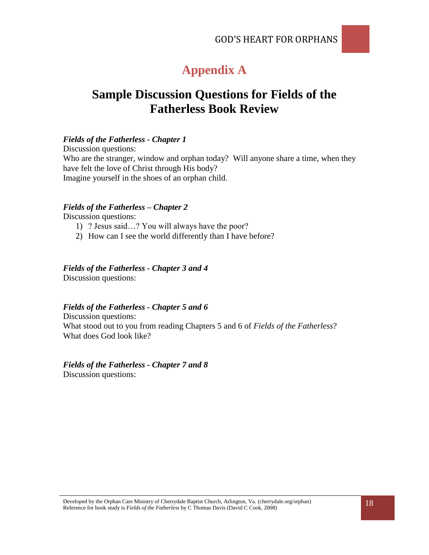# **Appendix A**

# **Sample Discussion Questions for Fields of the Fatherless Book Review**

#### *Fields of the Fatherless - Chapter 1*

Discussion questions: Who are the stranger, window and orphan today? Will anyone share a time, when they have felt the love of Christ through His body? Imagine yourself in the shoes of an orphan child.

#### *Fields of the Fatherless – Chapter 2*

Discussion questions:

- 1) ? Jesus said…? You will always have the poor?
- 2) How can I see the world differently than I have before?

#### *Fields of the Fatherless - Chapter 3 and 4*

Discussion questions:

#### *Fields of the Fatherless - Chapter 5 and 6*

Discussion questions: What stood out to you from reading Chapters 5 and 6 of *Fields of the Fatherless*? What does God look like?

#### *Fields of the Fatherless - Chapter 7 and 8*  Discussion questions: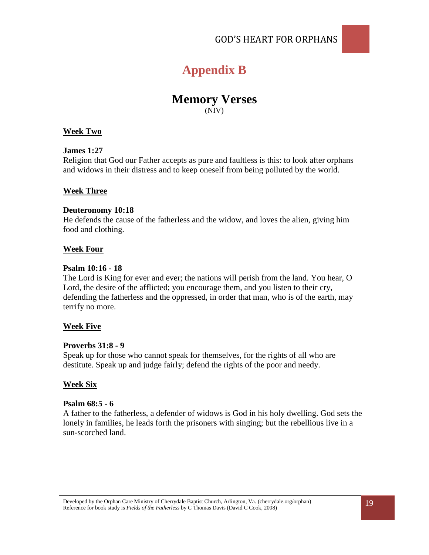

### **Memory Verses** (NIV)

#### **Week Two**

#### **James 1:27**

Religion that God our Father accepts as pure and faultless is this: to look after orphans and widows in their distress and to keep oneself from being polluted by the world.

#### **Week Three**

#### **Deuteronomy 10:18**

He defends the cause of the fatherless and the widow, and loves the alien, giving him food and clothing.

#### **Week Four**

#### **Psalm 10:16 - 18**

The Lord is King for ever and ever; the nations will perish from the land. You hear, O Lord, the desire of the afflicted; you encourage them, and you listen to their cry, defending the fatherless and the oppressed, in order that man, who is of the earth, may terrify no more.

#### **Week Five**

#### **Proverbs 31:8 - 9**

Speak up for those who cannot speak for themselves, for the rights of all who are destitute. Speak up and judge fairly; defend the rights of the poor and needy.

#### **Week Six**

#### **Psalm 68:5 - 6**

A father to the fatherless, a defender of widows is God in his holy dwelling. God sets the lonely in families, he leads forth the prisoners with singing; but the rebellious live in a sun-scorched land.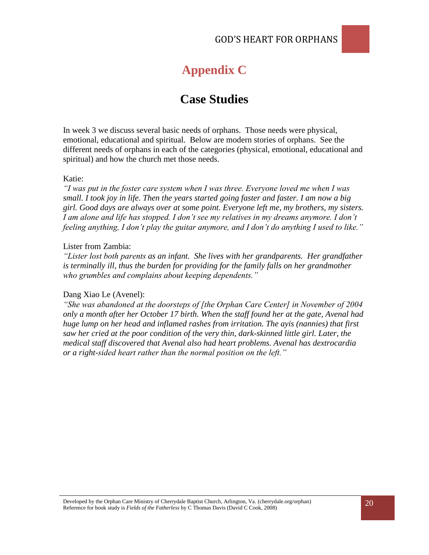# **Appendix C**

# **Case Studies**

In week 3 we discuss several basic needs of orphans. Those needs were physical, emotional, educational and spiritual. Below are modern stories of orphans. See the different needs of orphans in each of the categories (physical, emotional, educational and spiritual) and how the church met those needs.

#### Katie:

*"I was put in the foster care system when I was three. Everyone loved me when I was small. I took joy in life. Then the years started going faster and faster. I am now a big girl. Good days are always over at some point. Everyone left me, my brothers, my sisters. I am alone and life has stopped. I don't see my relatives in my dreams anymore. I don't feeling anything, I don't play the guitar anymore, and I don't do anything I used to like."*

#### Lister from Zambia:

*"Lister lost both parents as an infant. She lives with her grandparents. Her grandfather is terminally ill, thus the burden for providing for the family falls on her grandmother who grumbles and complains about keeping dependents."*

#### Dang Xiao Le (Avenel):

*"She was abandoned at the doorsteps of [the Orphan Care Center] in November of 2004 only a month after her October 17 birth. When the staff found her at the gate, Avenal had huge lump on her head and inflamed rashes from irritation. The ayis (nannies) that first saw her cried at the poor condition of the very thin, dark-skinned little girl. Later, the medical staff discovered that Avenal also had heart problems. Avenal has dextrocardia or a right-sided heart rather than the normal position on the left."*